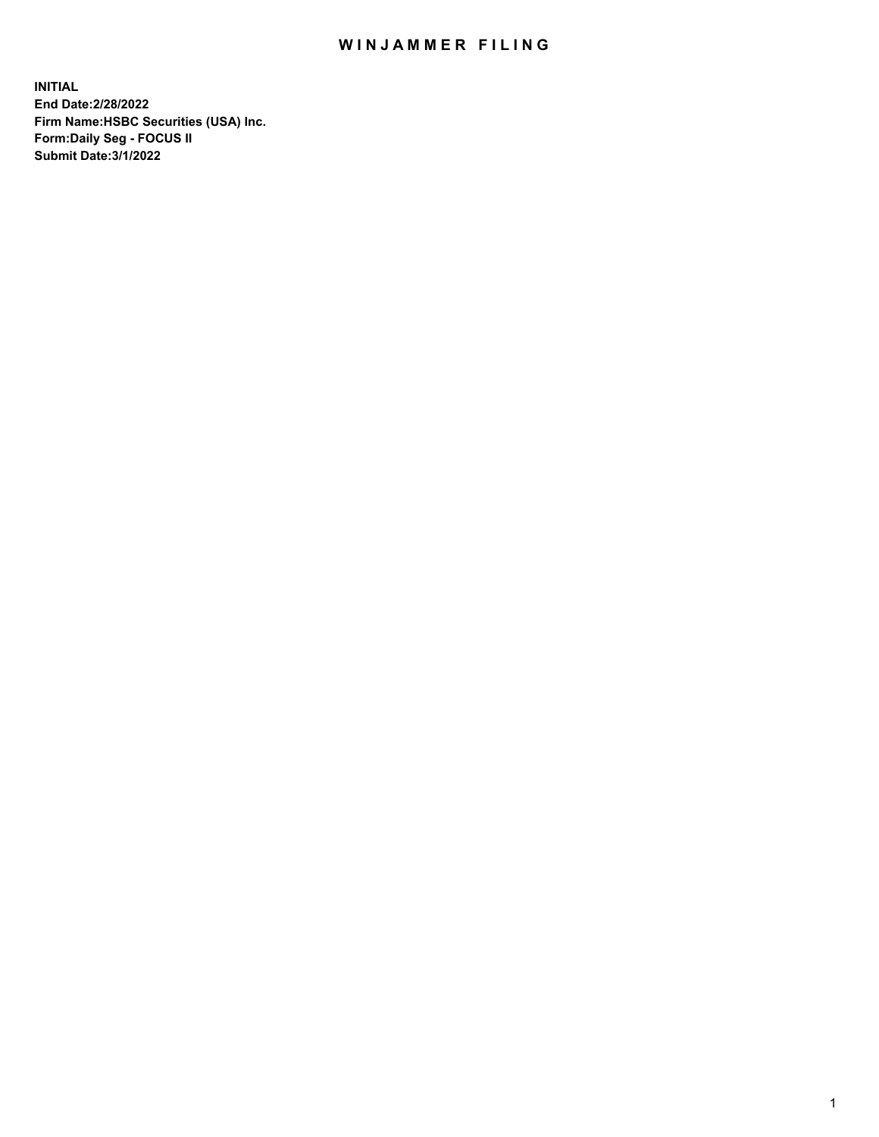## WIN JAMMER FILING

**INITIAL End Date:2/28/2022 Firm Name:HSBC Securities (USA) Inc. Form:Daily Seg - FOCUS II Submit Date:3/1/2022**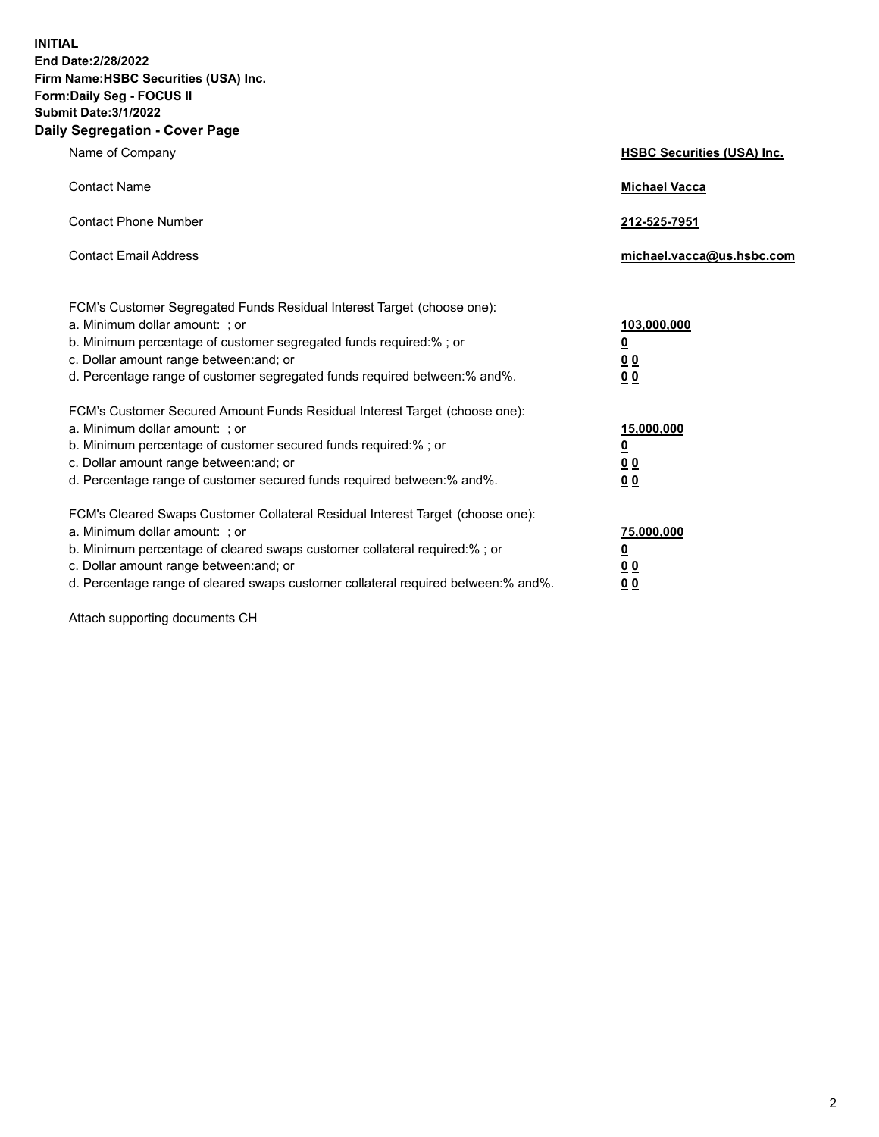**INITIAL End Date:2/28/2022 Firm Name:HSBC Securities (USA) Inc. Form:Daily Seg - FOCUS II Submit Date:3/1/2022 Daily Segregation - Cover Page**

| Name of Company                                                                                                                                                                                                                                                                                                                | <b>HSBC Securities (USA) Inc.</b>                           |
|--------------------------------------------------------------------------------------------------------------------------------------------------------------------------------------------------------------------------------------------------------------------------------------------------------------------------------|-------------------------------------------------------------|
| <b>Contact Name</b>                                                                                                                                                                                                                                                                                                            | <b>Michael Vacca</b>                                        |
| <b>Contact Phone Number</b>                                                                                                                                                                                                                                                                                                    | 212-525-7951                                                |
| <b>Contact Email Address</b>                                                                                                                                                                                                                                                                                                   | michael.vacca@us.hsbc.com                                   |
| FCM's Customer Segregated Funds Residual Interest Target (choose one):<br>a. Minimum dollar amount: ; or<br>b. Minimum percentage of customer segregated funds required:% ; or<br>c. Dollar amount range between: and; or<br>d. Percentage range of customer segregated funds required between:% and%.                         | 103,000,000<br><u>0</u><br>0 <sub>0</sub><br>0 <sub>0</sub> |
| FCM's Customer Secured Amount Funds Residual Interest Target (choose one):<br>a. Minimum dollar amount: ; or<br>b. Minimum percentage of customer secured funds required:%; or<br>c. Dollar amount range between: and; or<br>d. Percentage range of customer secured funds required between:% and%.                            | 15,000,000<br><u>0</u><br>0 <sub>0</sub><br>0 <sub>0</sub>  |
| FCM's Cleared Swaps Customer Collateral Residual Interest Target (choose one):<br>a. Minimum dollar amount: ; or<br>b. Minimum percentage of cleared swaps customer collateral required:% ; or<br>c. Dollar amount range between: and; or<br>d. Percentage range of cleared swaps customer collateral required between:% and%. | 75,000,000<br><u>0</u><br>00<br><u>00</u>                   |

Attach supporting documents CH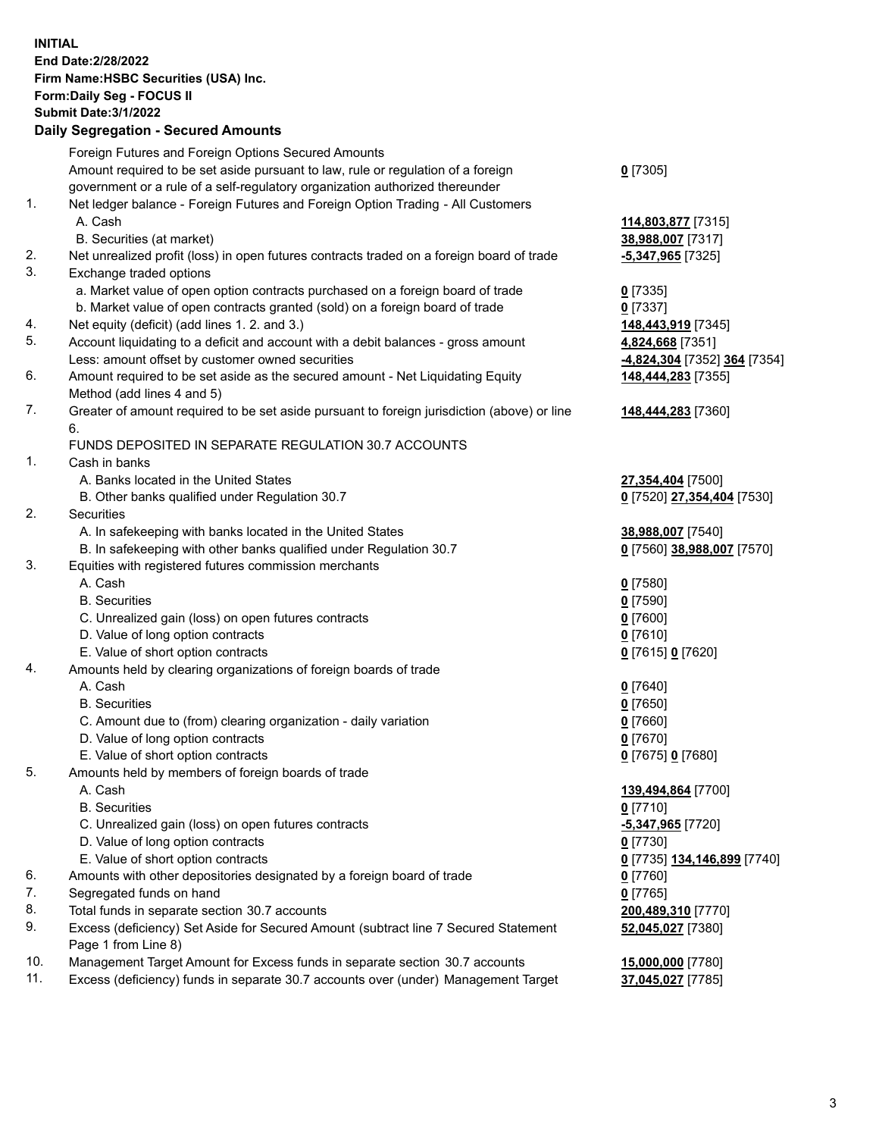**INITIAL End Date:2/28/2022 Firm Name:HSBC Securities (USA) Inc. Form:Daily Seg - FOCUS II Submit Date:3/1/2022 Daily Segregation - Secured Amounts** Foreign Futures and Foreign Options Secured Amounts Amount required to be set aside pursuant to law, rule or regulation of a foreign government or a rule of a self-regulatory organization authorized thereunder **0** [7305] 1. Net ledger balance - Foreign Futures and Foreign Option Trading - All Customers A. Cash **114,803,877** [7315] B. Securities (at market) **38,988,007** [7317] 2. Net unrealized profit (loss) in open futures contracts traded on a foreign board of trade **-5,347,965** [7325] 3. Exchange traded options a. Market value of open option contracts purchased on a foreign board of trade **0** [7335] b. Market value of open contracts granted (sold) on a foreign board of trade **0** [7337] 4. Net equity (deficit) (add lines 1. 2. and 3.) **148,443,919** [7345] 5. Account liquidating to a deficit and account with a debit balances - gross amount **4,824,668** [7351] Less: amount offset by customer owned securities **-4,824,304** [7352] **364** [7354] 6. Amount required to be set aside as the secured amount - Net Liquidating Equity Method (add lines 4 and 5) **148,444,283** [7355] 7. Greater of amount required to be set aside pursuant to foreign jurisdiction (above) or line 6. **148,444,283** [7360] FUNDS DEPOSITED IN SEPARATE REGULATION 30.7 ACCOUNTS 1. Cash in banks A. Banks located in the United States **27,354,404** [7500] B. Other banks qualified under Regulation 30.7 **0** [7520] **27,354,404** [7530] 2. Securities A. In safekeeping with banks located in the United States **38,988,007** [7540] B. In safekeeping with other banks qualified under Regulation 30.7 **0** [7560] **38,988,007** [7570] 3. Equities with registered futures commission merchants A. Cash **0** [7580] B. Securities **0** [7590] C. Unrealized gain (loss) on open futures contracts **0** [7600] D. Value of long option contracts **0** [7610] E. Value of short option contracts **0** [7615] **0** [7620] 4. Amounts held by clearing organizations of foreign boards of trade A. Cash **0** [7640] B. Securities **0** [7650] C. Amount due to (from) clearing organization - daily variation **0** [7660] D. Value of long option contracts **0** [7670] E. Value of short option contracts **0** [7675] **0** [7680] 5. Amounts held by members of foreign boards of trade A. Cash **139,494,864** [7700] B. Securities **0** [7710] C. Unrealized gain (loss) on open futures contracts **-5,347,965** [7720] D. Value of long option contracts **0** [7730] E. Value of short option contracts **0** [7735] **134,146,899** [7740] 6. Amounts with other depositories designated by a foreign board of trade **0** [7760] 7. Segregated funds on hand **0** [7765] 8. Total funds in separate section 30.7 accounts **200,489,310** [7770] 9. Excess (deficiency) Set Aside for Secured Amount (subtract line 7 Secured Statement Page 1 from Line 8) **52,045,027** [7380] 10. Management Target Amount for Excess funds in separate section 30.7 accounts **15,000,000** [7780] 11. Excess (deficiency) funds in separate 30.7 accounts over (under) Management Target **37,045,027** [7785]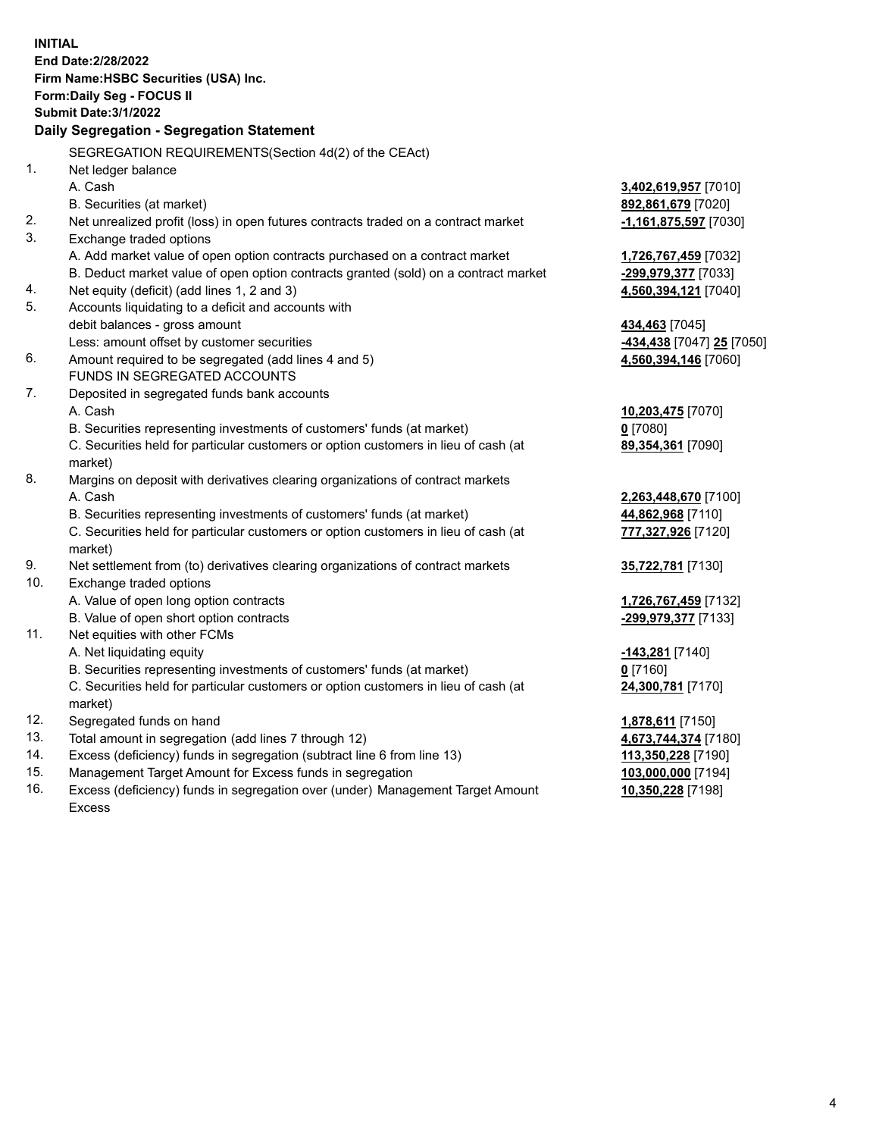|     | <b>INITIAL</b>                                                                                                  |                                            |
|-----|-----------------------------------------------------------------------------------------------------------------|--------------------------------------------|
|     | End Date: 2/28/2022                                                                                             |                                            |
|     | Firm Name: HSBC Securities (USA) Inc.                                                                           |                                            |
|     | Form: Daily Seg - FOCUS II                                                                                      |                                            |
|     | <b>Submit Date: 3/1/2022</b>                                                                                    |                                            |
|     | Daily Segregation - Segregation Statement                                                                       |                                            |
|     | SEGREGATION REQUIREMENTS(Section 4d(2) of the CEAct)                                                            |                                            |
| 1.  |                                                                                                                 |                                            |
|     | Net ledger balance<br>A. Cash                                                                                   |                                            |
|     |                                                                                                                 | 3,402,619,957 [7010]<br>892,861,679 [7020] |
| 2.  | B. Securities (at market)<br>Net unrealized profit (loss) in open futures contracts traded on a contract market | $-1,161,875,597$ [7030]                    |
| 3.  | Exchange traded options                                                                                         |                                            |
|     | A. Add market value of open option contracts purchased on a contract market                                     | 1,726,767,459 [7032]                       |
|     | B. Deduct market value of open option contracts granted (sold) on a contract market                             | -299,979,377 [7033]                        |
| 4.  | Net equity (deficit) (add lines 1, 2 and 3)                                                                     | 4,560,394,121 [7040]                       |
| 5.  | Accounts liquidating to a deficit and accounts with                                                             |                                            |
|     | debit balances - gross amount                                                                                   | 434,463 [7045]                             |
|     | Less: amount offset by customer securities                                                                      | -434,438 [7047] 25 [7050]                  |
| 6.  | Amount required to be segregated (add lines 4 and 5)                                                            | 4,560,394,146 [7060]                       |
|     | FUNDS IN SEGREGATED ACCOUNTS                                                                                    |                                            |
| 7.  | Deposited in segregated funds bank accounts                                                                     |                                            |
|     | A. Cash                                                                                                         | 10,203,475 [7070]                          |
|     | B. Securities representing investments of customers' funds (at market)                                          | $0$ [7080]                                 |
|     | C. Securities held for particular customers or option customers in lieu of cash (at                             | 89,354,361 [7090]                          |
|     | market)                                                                                                         |                                            |
| 8.  | Margins on deposit with derivatives clearing organizations of contract markets                                  |                                            |
|     | A. Cash                                                                                                         | 2,263,448,670 [7100]                       |
|     | B. Securities representing investments of customers' funds (at market)                                          | 44,862,968 [7110]                          |
|     | C. Securities held for particular customers or option customers in lieu of cash (at                             | 777,327,926 [7120]                         |
|     | market)                                                                                                         |                                            |
| 9.  | Net settlement from (to) derivatives clearing organizations of contract markets                                 | 35,722,781 [7130]                          |
| 10. | Exchange traded options                                                                                         |                                            |
|     | A. Value of open long option contracts                                                                          | 1,726,767,459 [7132]                       |
|     | B. Value of open short option contracts                                                                         | -299,979,377 [7133]                        |
| 11. | Net equities with other FCMs                                                                                    |                                            |
|     | A. Net liquidating equity                                                                                       | <u>-143,281</u> [7140]                     |
|     | B. Securities representing investments of customers' funds (at market)                                          | $0$ [7160]                                 |
|     | C. Securities held for particular customers or option customers in lieu of cash (at                             | 24,300,781 [7170]                          |
|     | market)                                                                                                         |                                            |
| 12. | Segregated funds on hand                                                                                        | 1,878,611 [7150]                           |
| 13. | Total amount in segregation (add lines 7 through 12)                                                            | 4,673,744,374 [7180]                       |
| 14. | Excess (deficiency) funds in segregation (subtract line 6 from line 13)                                         | 113,350,228 [7190]                         |
| 15. | Management Target Amount for Excess funds in segregation                                                        | 103,000,000 [7194]                         |
| 16. | Excess (deficiency) funds in segregation over (under) Management Target Amount                                  | 10,350,228 [7198]                          |

Excess